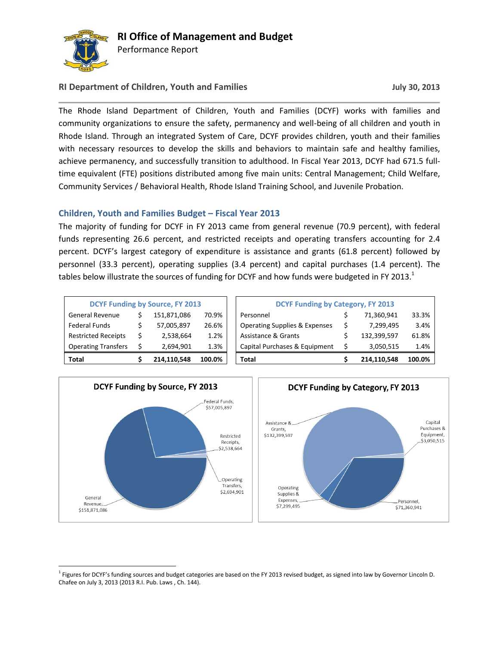

 $\overline{a}$ 

Performance Report

### **RI Department of Children, Youth and Families July 30, 2013**

The Rhode Island Department of Children, Youth and Families (DCYF) works with families and community organizations to ensure the safety, permanency and well-being of all children and youth in Rhode Island. Through an integrated System of Care, DCYF provides children, youth and their families with necessary resources to develop the skills and behaviors to maintain safe and healthy families, achieve permanency, and successfully transition to adulthood. In Fiscal Year 2013, DCYF had 671.5 fulltime equivalent (FTE) positions distributed among five main units: Central Management; Child Welfare, Community Services / Behavioral Health, Rhode Island Training School, and Juvenile Probation.

### **Children, Youth and Families Budget – Fiscal Year 2013**

The majority of funding for DCYF in FY 2013 came from general revenue (70.9 percent), with federal funds representing 26.6 percent, and restricted receipts and operating transfers accounting for 2.4 percent. DCYF's largest category of expenditure is assistance and grants (61.8 percent) followed by personnel (33.3 percent), operating supplies (3.4 percent) and capital purchases (1.4 percent). The tables below illustrate the sources of funding for DCYF and how funds were budgeted in FY 2013. $^1$ 

| <b>DCYF Funding by Source, FY 2013</b> |   |             |        |  |  |  |
|----------------------------------------|---|-------------|--------|--|--|--|
| <b>General Revenue</b>                 | Ś | 151,871,086 | 70.9%  |  |  |  |
| <b>Federal Funds</b>                   | S | 57,005,897  | 26.6%  |  |  |  |
| <b>Restricted Receipts</b>             | Ś | 2,538,664   | 1.2%   |  |  |  |
| <b>Operating Transfers</b>             | Ś | 2,694,901   | 1.3%   |  |  |  |
| Total                                  |   | 214,110,548 | 100.0% |  |  |  |

| Total                      |   | 214.110.548                            | 100.0% | Total                                    | 214.110.548 | 100.0% |
|----------------------------|---|----------------------------------------|--------|------------------------------------------|-------------|--------|
| <b>Operating Transfers</b> |   | 2,694,901                              | 1.3%   | Capital Purchases & Equipment            | 3,050,515   | 1.4%   |
| <b>Restricted Receipts</b> | Ś | 2,538,664                              | 1.2%   | Assistance & Grants                      | 132,399,597 | 61.8%  |
| Federal Funds              |   | 57,005,897                             | 26.6%  | <b>Operating Supplies &amp; Expenses</b> | 7,299,495   | 3.4%   |
| <b>General Revenue</b>     |   | 151,871,086                            | 70.9%  | Personnel                                | 71.360.941  | 33.3%  |
|                            |   | <b>DCYF Funding by Source, FY 2013</b> |        | <b>DCYF Funding by Category, FY 2013</b> |             |        |



<sup>&</sup>lt;sup>1</sup> Figures for DCYF's funding sources and budget categories are based on the FY 2013 revised budget, as signed into law by Governor Lincoln D. Chafee on July 3, 2013 (2013 R.I. Pub. Laws , Ch. 144).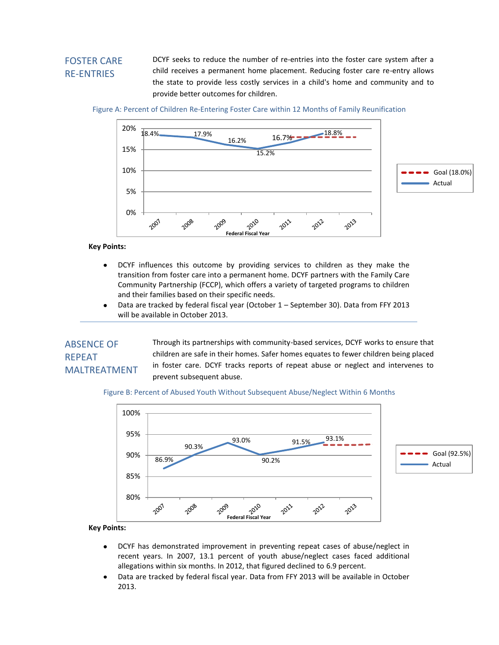# FOSTER CARE RE-ENTRIES

DCYF seeks to reduce the number of re-entries into the foster care system after a child receives a permanent home placement. Reducing foster care re-entry allows the state to provide less costly services in a child's home and community and to provide better outcomes for children.

Figure A: Percent of Children Re-Entering Foster Care within 12 Months of Family Reunification



**Key Points:**

- DCYF influences this outcome by providing services to children as they make the  $\bullet$ transition from foster care into a permanent home. DCYF partners with the Family Care Community Partnership (FCCP), which offers a variety of targeted programs to children and their families based on their specific needs.
- $\bullet$ Data are tracked by federal fiscal year (October 1 – September 30). Data from FFY 2013 will be available in October 2013.

# ABSENCE OF REPEAT MALTREATMENT

Through its partnerships with community-based services, DCYF works to ensure that children are safe in their homes. Safer homes equates to fewer children being placed in foster care. DCYF tracks reports of repeat abuse or neglect and intervenes to prevent subsequent abuse.

Figure B: Percent of Abused Youth Without Subsequent Abuse/Neglect Within 6 Months



**Key Points:**

- DCYF has demonstrated improvement in preventing repeat cases of abuse/neglect in  $\bullet$ recent years. In 2007, 13.1 percent of youth abuse/neglect cases faced additional allegations within six months. In 2012, that figured declined to 6.9 percent.
- Data are tracked by federal fiscal year. Data from FFY 2013 will be available in October 2013.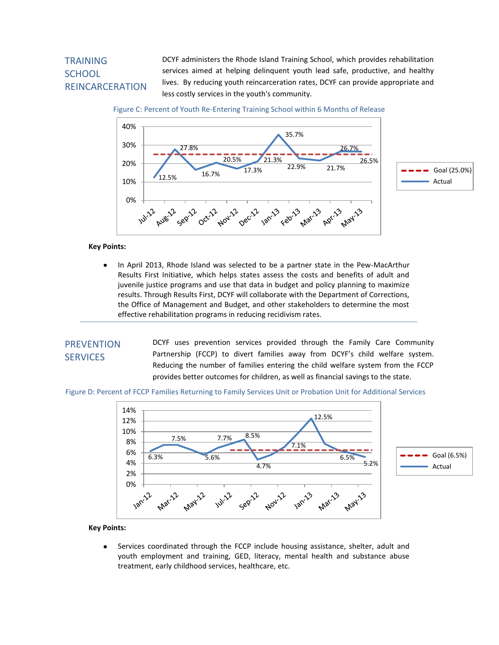# **TRAINING SCHOOL** REINCARCERATION

DCYF administers the Rhode Island Training School, which provides rehabilitation services aimed at helping delinquent youth lead safe, productive, and healthy lives. By reducing youth reincarceration rates, DCYF can provide appropriate and less costly services in the youth's community.



Figure C: Percent of Youth Re-Entering Training School within 6 Months of Release

#### **Key Points:**

In April 2013, Rhode Island was selected to be a partner state in the Pew-MacArthur Results First Initiative, which helps states assess the costs and benefits of adult and juvenile justice programs and use that data in budget and policy planning to maximize results. Through Results First, DCYF will collaborate with the Department of Corrections, the Office of Management and Budget, and other stakeholders to determine the most effective rehabilitation programs in reducing recidivism rates.

### **PREVENTION SERVICES**

DCYF uses prevention services provided through the Family Care Community Partnership (FCCP) to divert families away from DCYF's child welfare system. Reducing the number of families entering the child welfare system from the FCCP provides better outcomes for children, as well as financial savings to the state.

Figure D: Percent of FCCP Families Returning to Family Services Unit or Probation Unit for Additional Services



#### **Key Points:**

Services coordinated through the FCCP include housing assistance, shelter, adult and  $\bullet$ youth employment and training, GED, literacy, mental health and substance abuse treatment, early childhood services, healthcare, etc.